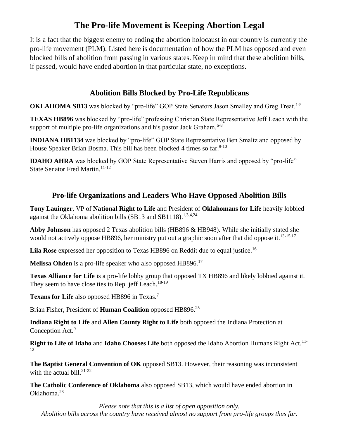## **The Pro-life Movement is Keeping Abortion Legal**

It is a fact that the biggest enemy to ending the abortion holocaust in our country is currently the pro-life movement (PLM). Listed here is documentation of how the PLM has opposed and even blocked bills of abolition from passing in various states. Keep in mind that these abolition bills, if passed, would have ended abortion in that particular state, no exceptions.

## **Abolition Bills Blocked by Pro-Life Republicans**

**OKLAHOMA SB13** was blocked by "pro-life" GOP State Senators Jason Smalley and Greg Treat.<sup>1-5</sup>

**TEXAS HB896** was blocked by "pro-life" professing Christian State Representative Jeff Leach with the support of multiple pro-life organizations and his pastor Jack Graham.<sup>6-8</sup>

**INDIANA HB1134** was blocked by "pro-life" GOP State Representative Ben Smaltz and opposed by House Speaker Brian Bosma. This bill has been blocked 4 times so far.  $9-10$ 

**IDAHO AHRA** was blocked by GOP State Representative Steven Harris and opposed by "pro-life" State Senator Fred Martin.<sup>11-12</sup>

## **Pro-life Organizations and Leaders Who Have Opposed Abolition Bills**

**Tony Lauinger**, VP of **National Right to Life** and President of **Oklahomans for Life** heavily lobbied against the Oklahoma abolition bills (SB13 and SB1118).<sup>1,3,4,24</sup>

**Abby Johnson** has opposed 2 Texas abolition bills (HB896 & HB948). While she initially stated she would not actively oppose HB896, her ministry put out a graphic soon after that did oppose it.<sup>13-15,17</sup>

Lila Rose expressed her opposition to Texas HB896 on Reddit due to equal justice.<sup>16</sup>

**Melissa Ohden** is a pro-life speaker who also opposed HB896.<sup>17</sup>

**Texas Alliance for Life** is a pro-life lobby group that opposed TX HB896 and likely lobbied against it. They seem to have close ties to Rep. jeff Leach.<sup>18-19</sup>

**Texans for Life** also opposed HB896 in Texas.<sup>7</sup>

Brian Fisher, President of **Human Coalition** opposed HB896.<sup>25</sup>

**Indiana Right to Life** and **Allen County Right to Life** both opposed the Indiana Protection at Conception Act.<sup>9</sup>

**Right to Life of Idaho** and **Idaho Chooses Life** both opposed the Idaho Abortion Humans Right Act.<sup>11-</sup> 12

**The Baptist General Convention of OK** opposed SB13. However, their reasoning was inconsistent with the actual bill. $21-22$ 

**The Catholic Conference of Oklahoma** also opposed SB13, which would have ended abortion in Oklahoma.<sup>23</sup>

*Please note that this is a list of open opposition only. Abolition bills across the country have received almost no support from pro-life groups thus far.*